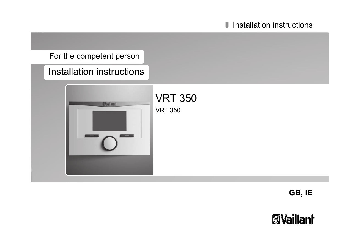For the competent person

# Installation instructions



VRT 350 VRT 350

**GB, IE**

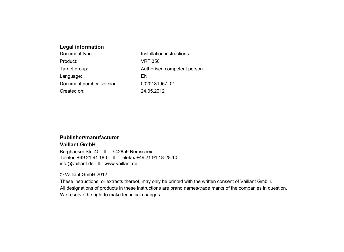#### **Legal information**

| Document type:           | Installation instructions   |
|--------------------------|-----------------------------|
| Product:                 | <b>VRT 350</b>              |
| Target group:            | Authorised competent person |
| Language:                | FN                          |
| Document number version: | 0020131957 01               |
| Created on:              | 24.05.2012                  |

#### **Publisher/manufacturer**

#### **Vaillant GmbH**

Berghauser Str. 40 **D-42859 Remscheid** Telefon +49 21 91 18‑0 Telefax +49 21 91 18‑28 10 info@vaillant.de www.vaillant.de

#### © Vaillant GmbH 2012

These instructions, or extracts thereof, may only be printed with the written consent of Vaillant GmbH. All designations of products in these instructions are brand names/trade marks of the companies in question. We reserve the right to make technical changes.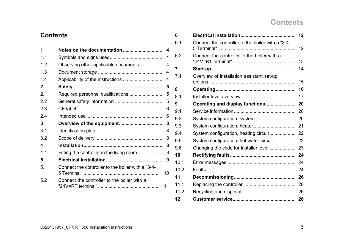# **Contents**

| <b>Contents</b> |                                                   |    |
|-----------------|---------------------------------------------------|----|
| 1               |                                                   | 4  |
| 1.1             |                                                   | 4  |
| 1.2             | Observing other applicable documents              | 4  |
| 1.3             |                                                   | 4  |
| 1.4             |                                                   | 4  |
| 2               |                                                   | 5  |
| 21              |                                                   | 5  |
| 22              |                                                   | 5  |
| 2.3             |                                                   | 6  |
| 2.4             |                                                   | 6  |
| 3               |                                                   | 8  |
| 3.1             |                                                   | 8  |
| 3.2             |                                                   | 8  |
| 4               |                                                   | 8  |
| 4.1             | Fitting the controller in the living room         | 8  |
| 5               |                                                   | 9  |
| 5.1             | Connect the controller to the boiler with a "3-4- | 10 |
| 5.2             | Connect the controller to the boiler with a       | 11 |

| 6    |                                                   | 12 |
|------|---------------------------------------------------|----|
| 6.1  | Connect the controller to the boiler with a "3-4- | 12 |
| 6.2  | Connect the controller to the boiler with a       | 13 |
| 7    |                                                   | 14 |
| 7.1  | Overview of installation assistant set-up         | 15 |
| 8    |                                                   | 16 |
| 8.1  |                                                   | 17 |
| 9    | Operating and display functions                   | 20 |
| 9.1  |                                                   | 20 |
| 9.2  | System configuration, system                      | 20 |
| 9.3  | System configuration, heater                      | 21 |
| 9.4  | System configuration, heating circuit             | 22 |
| 9.5  | System configuration, hot water circuit           | 22 |
| 9.6  | Changing the code for Installer level             | 23 |
| 10   |                                                   | 24 |
| 10.1 |                                                   | 24 |
| 10.2 |                                                   | 24 |
| 11   |                                                   | 26 |
| 11.1 |                                                   | 26 |
| 11.2 |                                                   | 26 |
| 12   |                                                   | 26 |
|      |                                                   |    |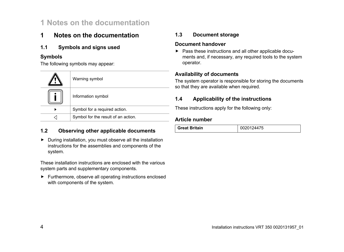# **1 Notes on the documentation**

### **1 Notes on the documentation**

#### **1.1 Symbols and signs used**

#### **Symbols**

The following symbols may appear:

| Warning symbol                      |
|-------------------------------------|
| Information symbol                  |
| Symbol for a required action.       |
| Symbol for the result of an action. |

#### **1.2 Observing other applicable documents**

▶ During installation, you must observe all the installation instructions for the assemblies and components of the system.

These installation instructions are enclosed with the various system parts and supplementary components.

▶ Furthermore, observe all operating instructions enclosed with components of the system.

### **1.3 Document storage**

#### **Document handover**

▶ Pass these instructions and all other applicable documents and, if necessary, any required tools to the system operator.

#### **Availability of documents**

The system operator is responsible for storing the documents so that they are available when required.

#### **1.4 Applicability of the instructions**

These instructions apply for the following only:

#### **Article number**

| <b>Great Britain</b> | 0020124475 |
|----------------------|------------|
|----------------------|------------|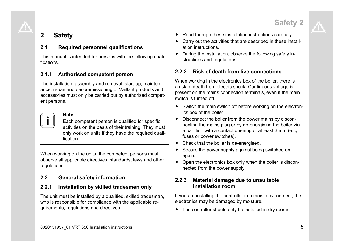# **2 Safety**

### **2.1 Required personnel qualifications**

This manual is intended for persons with the following qualifications.

### **2.1.1 Authorised competent person**

The installation, assembly and removal, start-up, maintenance, repair and decommissioning of Vaillant products and accessories must only be carried out by authorised competent persons.



#### **Note**

Each competent person is qualified for specific activities on the basis of their training. They must only work on units if they have the required qualification.

When working on the units, the competent persons must observe all applicable directives, standards, laws and other regulations.

### **2.2 General safety information**

### **2.2.1 Installation by skilled tradesmen only**

The unit must be installed by a qualified, skilled tradesman, who is responsible for compliance with the applicable requirements, regulations and directives.

- ▶ Read through these installation instructions carefully.
- $\triangleright$  Carry out the activities that are described in these installation instructions.
- ▶ During the installation, observe the following safety instructions and regulations.

### **2.2.2 Risk of death from live connections**

When working in the electronics box of the boiler, there is a risk of death from electric shock. Continuous voltage is present on the mains connection terminals, even if the main switch is turned off.

- $\triangleright$  Switch the main switch off before working on the electronics box of the boiler.
- ▶ Disconnect the boiler from the power mains by disconnecting the mains plug or by de-energising the boiler via a partition with a contact opening of at least 3 mm (e. g. fuses or power switches).
- $\blacktriangleright$  Check that the boiler is de-energised.
- $\triangleright$  Secure the power supply against being switched on again.
- $\triangleright$  Open the electronics box only when the boiler is disconnected from the power supply.

#### **2.2.3 Material damage due to unsuitable installation room**

If you are installing the controller in a moist environment, the electronics may be damaged by moisture.

 $\blacktriangleright$  The controller should only be installed in dry rooms.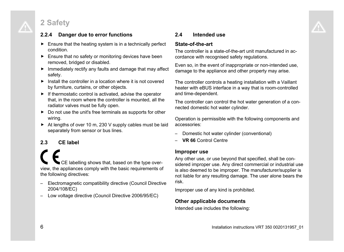# **2 Safety**

### **2.2.4 Danger due to error functions**

- $\blacktriangleright$  Ensure that the heating system is in a technically perfect condition.
- $\blacktriangleright$  Ensure that no safety or monitoring devices have been removed, bridged or disabled.
- ▶ Immediately rectify any faults and damage that may affect safety.
- $\blacktriangleright$  Install the controller in a location where it is not covered by furniture, curtains, or other objects.
- $\blacktriangleright$  If thermostatic control is activated, advise the operator that, in the room where the controller is mounted, all the radiator valves must be fully open.
- ▶ Do not use the unit's free terminals as supports for other wiring.
- ▶ At lengths of over 10 m, 230 V supply cables must be laid separately from sensor or bus lines.

### **2.3 CE label**

CE labelling shows that, based on the type overview, the appliances comply with the basic requirements of the following directives:

- Electromagnetic compatibility directive (Council Directive 2004/108/EC)
- Low voltage directive (Council Directive 2006/95/EC)

### **2.4 Intended use**

#### **State-of-the-art**

The controller is a state-of-the-art unit manufactured in accordance with recognised safety regulations.

Even so, in the event of inappropriate or non-intended use, damage to the appliance and other property may arise.

The controller controls a heating installation with a Vaillant heater with eBUS interface in a way that is room-controlled and time-dependent.

The controller can control the hot water generation of a connected domestic hot water cylinder.

Operation is permissible with the following components and accessories:

- Domestic hot water cylinder (conventional)
- **VR 66** Control Centre

#### **Improper use**

Any other use, or use beyond that specified, shall be considered improper use. Any direct commercial or industrial use is also deemed to be improper. The manufacturer/supplier is not liable for any resulting damage. The user alone bears the risk.

Improper use of any kind is prohibited.

#### **Other applicable documents**

Intended use includes the following: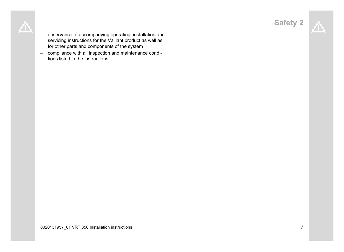- observance of accompanying operating, installation and servicing instructions for the Vaillant product as well as for other parts and components of the system
- compliance with all inspection and maintenance conditions listed in the instructions.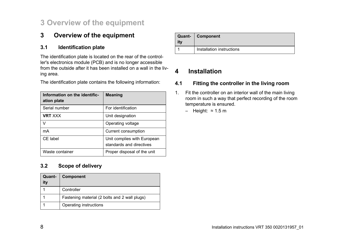# **3 Overview of the equipment**

### **3 Overview of the equipment**

#### **3.1 Identification plate**

The identification plate is located on the rear of the controller's electronics module (PCB) and is no longer accessible from the outside after it has been installed on a wall in the living area.

The identification plate contains the following information:

| Information on the identific-<br>ation plate | <b>Meaning</b>                                          |
|----------------------------------------------|---------------------------------------------------------|
| Serial number                                | For identification                                      |
| <b>VRT XXX</b>                               | Unit designation                                        |
| V                                            | Operating voltage                                       |
| mA                                           | Current consumption                                     |
| CE label                                     | Unit complies with European<br>standards and directives |
| Waste container                              | Proper disposal of the unit                             |

### **3.2 Scope of delivery**

| Quant-<br>ity | Component                                     |
|---------------|-----------------------------------------------|
|               | Controller                                    |
|               | Fastening material (2 bolts and 2 wall plugs) |
|               | Operating instructions                        |

| itv | Quant- Component          |
|-----|---------------------------|
|     | Installation instructions |

## **4 Installation**

#### **4.1 Fitting the controller in the living room**

- 1. Fit the controller on an interior wall of the main living room in such a way that perfect recording of the room temperature is ensured.
	- Height: ≈ 1.5 m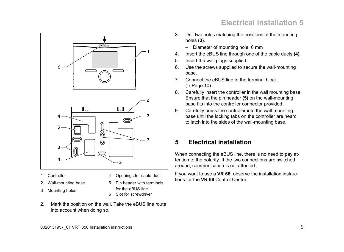



- 1 Controller
- 2 Wall-mounting base
- 3 Mounting holes
- 4 Openings for cable duct
- 5 Pin header with terminals for the eBUS line
- 6 Slot for screwdriver
- 2. Mark the position on the wall. Take the eBUS line route into account when doing so.
- 3. Drill two holes matching the positions of the mounting holes **(3)**.
	- Diameter of mounting hole: 6 mm
- 4. Insert the eBUS line through one of the cable ducts **(4)**.
- 5. Insert the wall plugs supplied.
- 6. Use the screws supplied to secure the wall-mounting base.
- 7. Connect the eBUS line to the terminal block.  $(\rightarrow$  Page 10)
- 8. Carefully insert the controller in the wall mounting base. Ensure that the pin header **(5)** on the wall-mounting base fits into the controller connector provided.
- 9. Carefully press the controller into the wall-mounting base until the locking tabs on the controller are heard to latch into the sides of the wall-mounting base.

When connecting the eBUS line, there is no need to pay attention to the polarity. If the two connections are switched around, communication is not affected.

If you want to use a **VR 66**, observe the installation instructions for the **VR 66** Control Centre.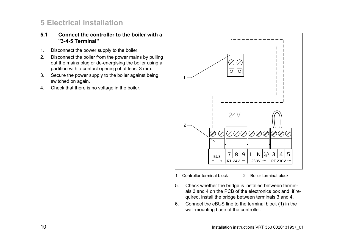#### **5.1 Connect the controller to the boiler with a "3-4-5 Terminal"**

- 1. Disconnect the power supply to the boiler.
- 2. Disconnect the boiler from the power mains by pulling out the mains plug or de-energising the boiler using a partition with a contact opening of at least 3 mm.
- 3. Secure the power supply to the boiler against being switched on again.
- 4. Check that there is no voltage in the boiler.



1 Controller terminal block 2 Boiler terminal block

- 5. Check whether the bridge is installed between terminals 3 and 4 on the PCB of the electronics box and, if required, install the bridge between terminals 3 and 4.
- 6. Connect the eBUS line to the terminal block **(1)** in the wall-mounting base of the controller.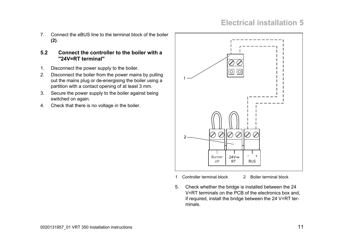- 7. Connect the eBUS line to the terminal block of the boiler **(2)**.
- **5.2 Connect the controller to the boiler with a "24V=RT terminal"**
- 1. Disconnect the power supply to the boiler.
- 2. Disconnect the boiler from the power mains by pulling out the mains plug or de-energising the boiler using a partition with a contact opening of at least 3 mm.
- 3. Secure the power supply to the boiler against being switched on again.
- 4. Check that there is no voltage in the boiler.



- 1 Controller terminal block 2 Boiler terminal block
- 5. Check whether the bridge is installed between the 24 V=RT terminals on the PCB of the electronics box and, if required, install the bridge between the 24 V=RT terminals.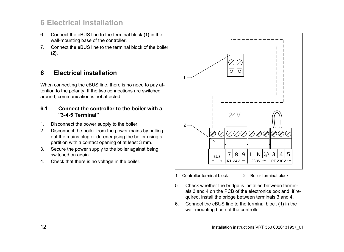- 6. Connect the eBUS line to the terminal block **(1)** in the wall-mounting base of the controller.
- 7. Connect the eBUS line to the terminal block of the boiler **(2)**.

### **6 Electrical installation**

When connecting the eBUS line, there is no need to pay attention to the polarity. If the two connections are switched around, communication is not affected. When connecting the eBUS line, there is no need to pay at-<br>tention to the polarity. If the two connections are switched<br>around, communication is not affected.<br>**6.1** Connect the controller to the boiler with a<br>"3-4-5 Termin

#### **6.1 Connect the controller to the boiler with a "3-4-5 Terminal"**

- 1. Disconnect the power supply to the boiler.
- 2. Disconnect the boiler from the power mains by pulling out the mains plug or de-energising the boiler using a partition with a contact opening of at least 3 mm.
- 3. Secure the power supply to the boiler against being switched on again.
- 



- 1 Controller terminal block 2 Boiler terminal block
- 5. Check whether the bridge is installed between terminals 3 and 4 on the PCB of the electronics box and, if required, install the bridge between terminals 3 and 4.
- 6. Connect the eBUS line to the terminal block **(1)** in the wall-mounting base of the controller.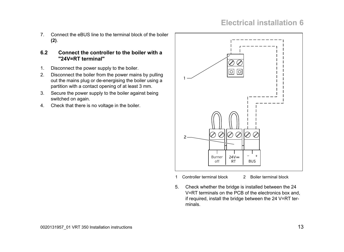- 7. Connect the eBUS line to the terminal block of the boiler **(2)**.
- **6.2 Connect the controller to the boiler with a "24V=RT terminal"**
- 1. Disconnect the power supply to the boiler.
- 2. Disconnect the boiler from the power mains by pulling out the mains plug or de-energising the boiler using a partition with a contact opening of at least 3 mm.
- 3. Secure the power supply to the boiler against being switched on again.
- 4. Check that there is no voltage in the boiler.



- 1 Controller terminal block 2 Boiler terminal block
- 5. Check whether the bridge is installed between the 24 V=RT terminals on the PCB of the electronics box and, if required, install the bridge between the 24 V=RT terminals.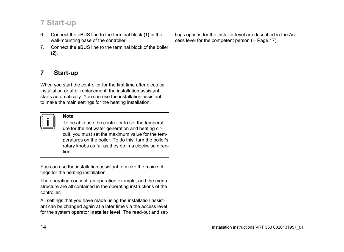# **7 Start-up**

- 6. Connect the eBUS line to the terminal block **(1)** in the wall-mounting base of the controller.
- 7. Connect the eBUS line to the terminal block of the boiler **(2)**.

# **7 Start-up**

When you start the controller for the first time after electrical installation or after replacement, the installation assistant starts automatically. You can use the installation assistant to make the main settings for the heating installation.



**Note**

To be able use the controller to set the temperature for the hot water generation and heating circuit, you must set the maximum value for the temperatures on the boiler. To do this, turn the boiler's rotary knobs as far as they go in a clockwise direction.

You can use the installation assistant to make the main settings for the heating installation.

The operating concept, an operation example, and the menu structure are all contained in the operating instructions of the controller.

All settings that you have made using the installation assistant can be changed again at a later time via the access level for the system operator **Installer level**. The read-out and set-

tings options for the installer level are described in the Access level for the competent person  $($   $\rightarrow$  Page 17).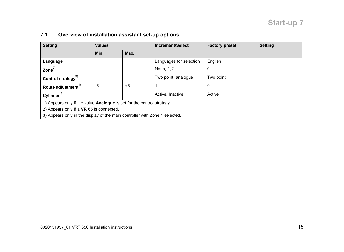# **Start-up 7**

#### **7.1 Overview of installation assistant set-up options**

| <b>Setting</b>                                                                                                                                                                                           | <b>Values</b> |      | Increment/Select        | <b>Factory preset</b> | <b>Setting</b> |  |
|----------------------------------------------------------------------------------------------------------------------------------------------------------------------------------------------------------|---------------|------|-------------------------|-----------------------|----------------|--|
|                                                                                                                                                                                                          | Min.          | Max. |                         |                       |                |  |
| Language                                                                                                                                                                                                 |               |      | Languages for selection | English               |                |  |
| Zone $20$                                                                                                                                                                                                |               |      | None, 1, 2              | 0                     |                |  |
| Control strategy                                                                                                                                                                                         |               |      | Two point, analogue     | Two point             |                |  |
| Route adjustment"                                                                                                                                                                                        | $-5$          | $+5$ |                         | $\mathbf 0$           |                |  |
| Cylinder <sup>3)</sup>                                                                                                                                                                                   |               |      | Active, Inactive        | Active                |                |  |
| 1) Appears only if the value <b>Analogue</b> is set for the control strategy.<br>2) Appears only if a VR 66 is connected.<br>3) Appears only in the display of the main controller with Zone 1 selected. |               |      |                         |                       |                |  |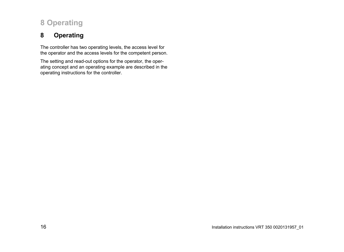# **8 Operating**

# **8 Operating**

The controller has two operating levels, the access level for the operator and the access levels for the competent person.

The setting and read-out options for the operator, the operating concept and an operating example are described in the operating instructions for the controller.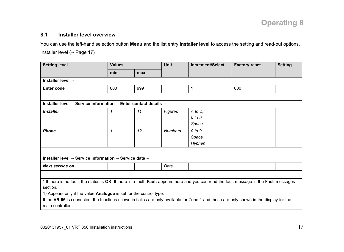#### **8.1 Installer level overview**

You can use the left-hand selection button **Menu** and the list entry **Installer level** to access the setting and read-out options. Installer level (→ Page 17)

| <b>Setting level</b>                                                                                                                       | <b>Values</b> |      | <b>Unit</b>    | Increment/Select | <b>Factory reset</b> | <b>Setting</b> |
|--------------------------------------------------------------------------------------------------------------------------------------------|---------------|------|----------------|------------------|----------------------|----------------|
|                                                                                                                                            | min.          | max. |                |                  |                      |                |
| Installer level $\rightarrow$                                                                                                              |               |      |                |                  |                      |                |
| <b>Enter code</b>                                                                                                                          | 000           | 999  |                | 1                | 000                  |                |
|                                                                                                                                            |               |      |                |                  |                      |                |
| Installer level $\rightarrow$ Service information $\rightarrow$ Enter contact details $\rightarrow$                                        |               |      |                |                  |                      |                |
| <b>Installer</b>                                                                                                                           | 1             | 11   | Figures        | $A$ to $Z$ ,     |                      |                |
|                                                                                                                                            |               |      |                | 0 to 9,          |                      |                |
|                                                                                                                                            |               |      |                | Space            |                      |                |
| <b>Phone</b>                                                                                                                               | 1             | 12   | <b>Numbers</b> | 0 to 9,          |                      |                |
|                                                                                                                                            |               |      |                | Space,           |                      |                |
|                                                                                                                                            |               |      |                | Hyphen           |                      |                |
|                                                                                                                                            |               |      |                |                  |                      |                |
| Installer level $\rightarrow$ Service information $\rightarrow$ Service date $\rightarrow$                                                 |               |      |                |                  |                      |                |
| <b>Next service on</b>                                                                                                                     |               |      | Date           |                  |                      |                |
|                                                                                                                                            |               |      |                |                  |                      |                |
| * If there is no fault, the status is OK. If there is a fault, Fault appears here and you can read the fault message in the Fault messages |               |      |                |                  |                      |                |
| section.                                                                                                                                   |               |      |                |                  |                      |                |
| 1) Appears only if the value <b>Analogue</b> is set for the control type.                                                                  |               |      |                |                  |                      |                |
| If the VR 66 is connected, the functions shown in italics are only available for Zone 1 and these are only shown in the display for the    |               |      |                |                  |                      |                |
| main controller.                                                                                                                           |               |      |                |                  |                      |                |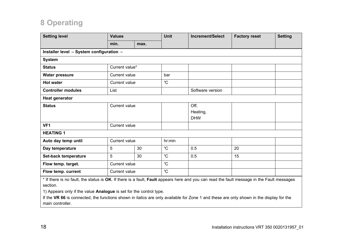# **8 Operating**

| <b>Setting level</b>                                                                                                                       | <b>Values</b>  |               | <b>Unit</b> | Increment/Select | <b>Factory reset</b> | <b>Setting</b> |  |  |
|--------------------------------------------------------------------------------------------------------------------------------------------|----------------|---------------|-------------|------------------|----------------------|----------------|--|--|
|                                                                                                                                            | min.           | max.          |             |                  |                      |                |  |  |
| Installer level → System configuration →                                                                                                   |                |               |             |                  |                      |                |  |  |
| <b>System</b>                                                                                                                              |                |               |             |                  |                      |                |  |  |
| <b>Status</b>                                                                                                                              | Current value* |               |             |                  |                      |                |  |  |
| Water pressure                                                                                                                             | Current value  |               | bar         |                  |                      |                |  |  |
| <b>Hot water</b>                                                                                                                           |                | Current value |             |                  |                      |                |  |  |
| <b>Controller modules</b>                                                                                                                  | List           |               |             | Software version |                      |                |  |  |
| Heat generator                                                                                                                             |                |               |             |                  |                      |                |  |  |
| <b>Status</b>                                                                                                                              | Current value  |               |             | Off.             |                      |                |  |  |
|                                                                                                                                            |                |               |             | Heating,         |                      |                |  |  |
|                                                                                                                                            |                |               |             | <b>DHW</b>       |                      |                |  |  |
| VF <sub>1</sub>                                                                                                                            | Current value  |               |             |                  |                      |                |  |  |
| <b>HEATING 1</b>                                                                                                                           |                |               |             |                  |                      |                |  |  |
| Auto day temp until                                                                                                                        | Current value  |               | hr: min     |                  |                      |                |  |  |
| Day temperature                                                                                                                            | 5              | 30            | °C          | 0.5              | 20                   |                |  |  |
| Set-back temperature                                                                                                                       | 5              | 30            | °C          | 0.5              | 15                   |                |  |  |
| Flow temp. target.                                                                                                                         | Current value  |               | °C          |                  |                      |                |  |  |
| Flow temp. current                                                                                                                         | Current value  |               | $^{\circ}C$ |                  |                      |                |  |  |
| * If there is no fault, the status is OK. If there is a fault, Fault appears here and you can read the fault message in the Fault messages |                |               |             |                  |                      |                |  |  |

section.

1) Appears only if the value **Analogue** is set for the control type.

If the **VR 66** is connected, the functions shown in italics are only available for Zone 1 and these are only shown in the display for the main controller.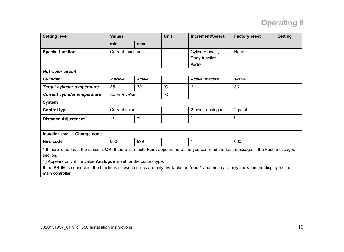# **Operating 8**

| <b>Setting level</b>                                                                                                                       | <b>Values</b>    |        | Unit | Increment/Select  | <b>Factory reset</b> | <b>Setting</b> |
|--------------------------------------------------------------------------------------------------------------------------------------------|------------------|--------|------|-------------------|----------------------|----------------|
|                                                                                                                                            | min.             | max.   |      |                   |                      |                |
| <b>Special function</b>                                                                                                                    | Current function |        |      | Cylinder boost,   | None                 |                |
|                                                                                                                                            |                  |        |      | Party function,   |                      |                |
|                                                                                                                                            |                  |        |      | Away              |                      |                |
| <b>Hot water circuit</b>                                                                                                                   |                  |        |      |                   |                      |                |
| Cylinder                                                                                                                                   | Inactive         | Active |      | Active, Inactive  | Active               |                |
| Target cylinder temperature                                                                                                                | 35               | 70     | °C   | 1                 | 60                   |                |
| <b>Current cylinder temperature</b>                                                                                                        | Current value    |        | °C   |                   |                      |                |
| System                                                                                                                                     |                  |        |      |                   |                      |                |
| <b>Control type</b>                                                                                                                        | Current value    |        |      | 2-point, analogue | 2-point              |                |
| Distance Adjustment $^{1)}$                                                                                                                | -5               | $+5$   |      | 1                 | 0                    |                |
|                                                                                                                                            |                  |        |      |                   |                      |                |
| Installer level $\rightarrow$ Change code $\rightarrow$                                                                                    |                  |        |      |                   |                      |                |
| New code                                                                                                                                   | 000              | 999    |      | 1                 | 000                  |                |
| * If there is no fault, the status is OK. If there is a fault, Fault appears here and you can read the fault message in the Fault messages |                  |        |      |                   |                      |                |
| section.                                                                                                                                   |                  |        |      |                   |                      |                |
| 1) Appears only if the value <b>Analogue</b> is set for the control type.                                                                  |                  |        |      |                   |                      |                |
| If the VR 66 is connected, the functions shown in italics are only available for Zone 1 and these are only shown in the display for the    |                  |        |      |                   |                      |                |
| main controller.                                                                                                                           |                  |        |      |                   |                      |                |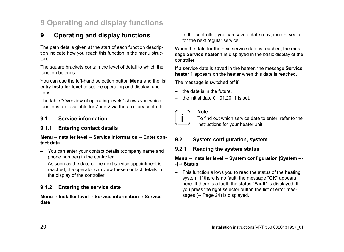# **9 Operating and display functions**

The path details given at the start of each function description indicate how you reach this function in the menu structure.

The square brackets contain the level of detail to which the function belongs.

You can use the left-hand selection button **Menu** and the list entry **Installer level** to set the operating and display functions.

The table "Overview of operating levels" shows you which functions are available for Zone 2 via the auxiliary controller.

#### **9.1 Service information**

#### **9.1.1 Entering contact details**

#### **Menu** →**Installer level** → **Service information** → **Enter contact data**

- You can enter your contact details (company name and phone number) in the controller.
- As soon as the date of the next service appointment is reached, the operator can view these contact details in the display of the controller.

#### **9.1.2 Entering the service date**

**Menu** → **Installer level** → **Service information** → **Service date**

– In the controller, you can save a date (day, month, year) for the next regular service.

When the date for the next service date is reached, the message **Service heater 1** is displayed in the basic display of the controller.

If a service date is saved in the heater, the message **Service heater 1** appears on the heater when this date is reached.

The message is switched off if:

- the date is in the future.
- the initial date 01.01.2011 is set.

| ÷ |  |
|---|--|
|   |  |

#### **Note**

To find out which service date to enter, refer to the instructions for your heater unit.

#### **9.2 System configuration, system**

**9.2.1 Reading the system status**

#### **Menu** → **Installer level** → **System configuration** [**System** --- -] → **Status**

– This function allows you to read the status of the heating system. If there is no fault, the message "**OK**" appears here. If there is a fault, the status "**Fault**" is displayed. If you press the right selector button the list of error messages ( $\rightarrow$  Page 24) is displayed.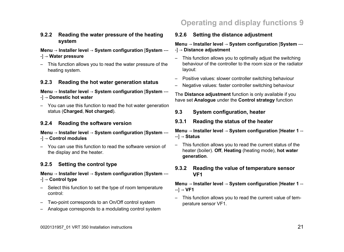#### **9.2.2 Reading the water pressure of the heating system**

#### **Menu** → **Installer level** → **System configuration** [**System** --- -] → **Water pressure**

– This function allows you to read the water pressure of the heating system.

### **9.2.3 Reading the hot water generation status**

#### **Menu** → **Installer level** → **System configuration** [**System** --- -] → **Domestic hot water**

– You can use this function to read the hot water generation status (**Charged**, **Not charged**).

### **9.2.4 Reading the software version**

#### **Menu** → **Installer level** → **System configuration** [**System** --- -] → **Control modules**

– You can use this function to read the software version of the display and the heater.

# **9.2.5 Setting the control type**

#### **Menu** → **Installer level** → **System configuration** [**System** --- -] → **Control type**

- Select this function to set the type of room temperature control:
- Two-point corresponds to an On/Off control system
- Analogue corresponds to a modulating control system

### **9.2.6 Setting the distance adjustment**

### **Menu** → **Installer level** → **System configuration** [**System** --- -] → **Distance adjustment**

- This function allows you to optimally adjust the switching behaviour of the controller to the room size or the radiator layout:
- Positive values: slower controller switching behaviour
- Negative values: faster controller switching behaviour

The **Distance adjustment** function is only available if you have set **Analogue** under the **Control strategy** function

- **9.3 System configuration, heater**
- **9.3.1 Reading the status of the heater**

**Menu** → **Installer level** → **System configuration** [**Heater 1** -- --] → **Status**

– This function allows you to read the current status of the heater (boiler). **Off**, **Heating** (heating mode), **hot water generation**.

#### **9.3.2 Reading the value of temperature sensor VF1**

#### **Menu** → **Installer level** → **System configuration** [**Heater 1** -- --] → **VF1**

– This function allows you to read the current value of temperature sensor VF1.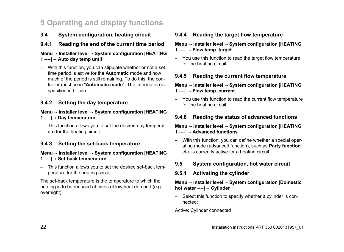- **9.4 System configuration, heating circuit**
- **9.4.1 Reading the end of the current time period**

**Menu** → **Installer level** → **System configuration** [**HEATING 1** ----] → **Auto day temp until**

– With this function, you can stipulate whether or not a set time period is active for the **Automatic** mode and how much of the period is still remaining. To do this, the controller must be in "**Automatic mode**". The information is specified in hr:min.

#### **9.4.2 Setting the day temperature**

**Menu** → **Installer level** → **System configuration** [**HEATING 1** ----] → **Day temperature**

– This function allows you to set the desired day temperature for the heating circuit.

#### **9.4.3 Setting the set-back temperature**

#### **Menu** → **Installer level** → **System configuration** [**HEATING 1** ----] → **Set-back temperature**

– This function allows you to set the desired set-back temperature for the heating circuit.

The set-back temperature is the temperature to which the heating is to be reduced at times of low heat demand (e.g. overnight).

#### **9.4.4 Reading the target flow temperature**

#### **Menu** → **Installer level** → **System configuration** [**HEATING 1** ----] → **Flow temp. target**

– You use this function to read the target flow temperature for the heating circuit.

#### **9.4.5 Reading the current flow temperature**

#### **Menu** → **Installer level** → **System configuration** [**HEATING 1** ----] → **Flow temp. current**

– You use this function to read the current flow temperature for the heating circuit.

#### **9.4.6 Reading the status of advanced functions**

#### **Menu** → **Installer level** → **System configuration** [**HEATING 1** ----] → **Advanced functions**

– With this function, you can define whether a special operating mode (advanced function), such as **Party function** etc. is currently active for a heating circuit.

#### **9.5 System configuration, hot water circuit**

#### **9.5.1 Activating the cylinder**

#### **Menu** → **Installer level** → **System configuration** [**Domestic hot water** ----] → **Cylinder**

– Select this function to specify whether a cylinder is connected:

#### Active: Cylinder connected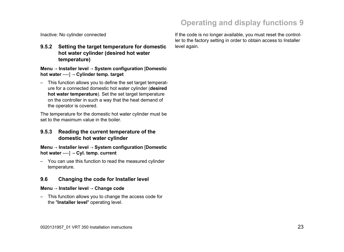Inactive: No cylinder connected

**9.5.2 Setting the target temperature for domestic hot water cylinder (desired hot water temperature)**

**Menu** → **Installer level** → **System configuration** [**Domestic hot water** ----] → **Cylinder temp. target**

– This function allows you to define the set target temperature for a connected domestic hot water cylinder (**desired hot water temperature**). Set the set target temperature on the controller in such a way that the heat demand of the operator is covered.

The temperature for the domestic hot water cylinder must be set to the maximum value in the boiler.

#### **9.5.3 Reading the current temperature of the domestic hot water cylinder**

**Menu** → **Installer level** → **System configuration** [**Domestic hot water** ----] → **Cyl. temp. current**

– You can use this function to read the measured cylinder temperature.

#### **9.6 Changing the code for Installer level**

#### **Menu** → **Installer level** → **Change code**

– This function allows you to change the access code for the "**Installer level**" operating level.

If the code is no longer available, you must reset the controller to the factory setting in order to obtain access to Installer level again.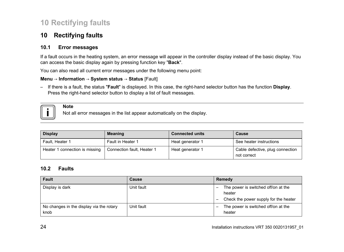# **10 Rectifying faults**

### **10 Rectifying faults**

#### **10.1 Error messages**

If a fault occurs in the heating system, an error message will appear in the controller display instead of the basic display. You can access the basic display again by pressing function key "**Back**".

You can also read all current error messages under the following menu point:

#### **Menu** → **Information** → **System status** → **Status** [Fault]

– If there is a fault, the status "**Fault**" is displayed. In this case, the right-hand selector button has the function **Display**. Press the right-hand selector button to display a list of fault messages.



**Note**

Not all error messages in the list appear automatically on the display.

| <b>Display</b>                 | <b>Meaning</b>             | <b>Connected units</b> | Cause                                           |
|--------------------------------|----------------------------|------------------------|-------------------------------------------------|
| Fault, Heater 1                | Fault in Heater 1          | Heat generator 1       | See heater instructions                         |
| Heater 1 connection is missing | Connection fault, Heater 1 | Heat generator 1       | Cable defective, plug connection<br>not correct |

#### **10.2 Faults**

| <b>Fault</b>                                     | Cause      | Remedy                                                                                                                                         |
|--------------------------------------------------|------------|------------------------------------------------------------------------------------------------------------------------------------------------|
| Display is dark                                  | Unit fault | The power is switched off/on at the<br>$\overline{\phantom{0}}$<br>heater<br>Check the power supply for the heater<br>$\overline{\phantom{0}}$ |
| No changes in the display via the rotary<br>knob | Unit fault | The power is switched off/on at the<br>-<br>heater                                                                                             |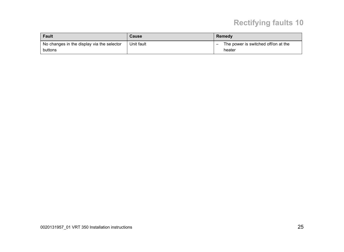# **Rectifying faults 10**

| Fault                                                 | <b>Cause</b> | Remedv                                        |
|-------------------------------------------------------|--------------|-----------------------------------------------|
| No changes in the display via the selector<br>buttons | Unit fault   | The power is switched off/on at the<br>heater |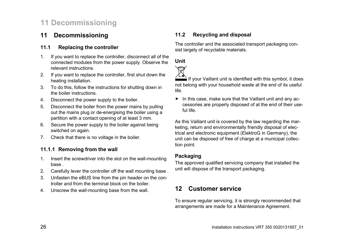# **11 Decommissioning**

### **11 Decommissioning**

#### **11.1 Replacing the controller**

- 1. If you want to replace the controller, disconnect all of the connected modules from the power supply. Observe the relevant instructions.
- 2. If you want to replace the controller, first shut down the heating installation.
- 3. To do this, follow the instructions for shutting down in the boiler instructions.
- 4. Disconnect the power supply to the boiler.
- 5. Disconnect the boiler from the power mains by pulling out the mains plug or de-energising the boiler using a partition with a contact opening of at least 3 mm.
- 6. Secure the power supply to the boiler against being switched on again.
- 7. Check that there is no voltage in the boiler.

#### **11.1.1 Removing from the wall**

- 1. Insert the screwdriver into the slot on the wall-mounting base .
- 2. Carefully lever the controller off the wall mounting base .
- 3. Unfasten the eBUS line from the pin header on the controller and from the terminal block on the boiler.
- 4. Unscrew the wall-mounting base from the wall.

### **11.2 Recycling and disposal**

The controller and the associated transport packaging consist largely of recyclable materials.

### **Unit**



If your Vaillant unit is identified with this symbol, it does not belong with your household waste at the end of its useful life.

 $\blacktriangleright$  In this case, make sure that the Vaillant unit and any accessories are properly disposed of at the end of their useful life.

As this Vaillant unit is covered by the law regarding the marketing, return and environmentally friendly disposal of electrical and electronic equipment (ElektroG in Germany), the unit can be disposed of free of charge at a municipal collection point.

#### **Packaging**

The approved qualified servicing company that installed the unit will dispose of the transport packaging.

### **12 Customer service**

To ensure regular servicing, it is strongly recommended that arrangements are made for a Maintenance Agreement.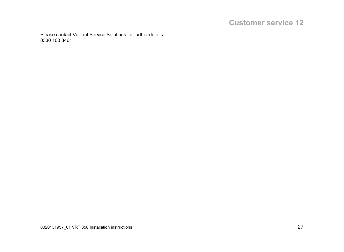# **Customer service 12**

Please contact Vaillant Service Solutions for further details: 0330 100 3461